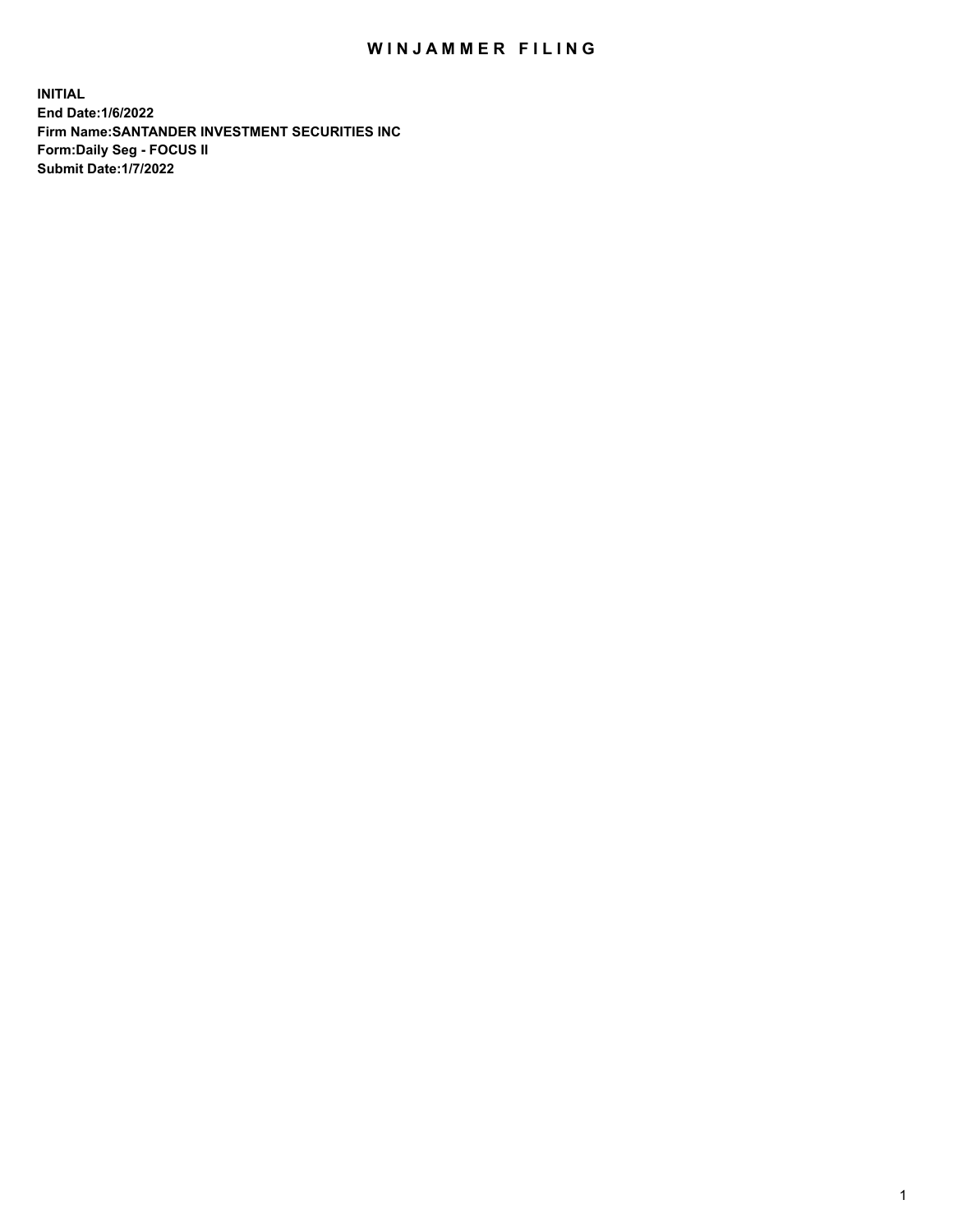## WIN JAMMER FILING

**INITIAL End Date:1/6/2022 Firm Name:SANTANDER INVESTMENT SECURITIES INC Form:Daily Seg - FOCUS II Submit Date:1/7/2022**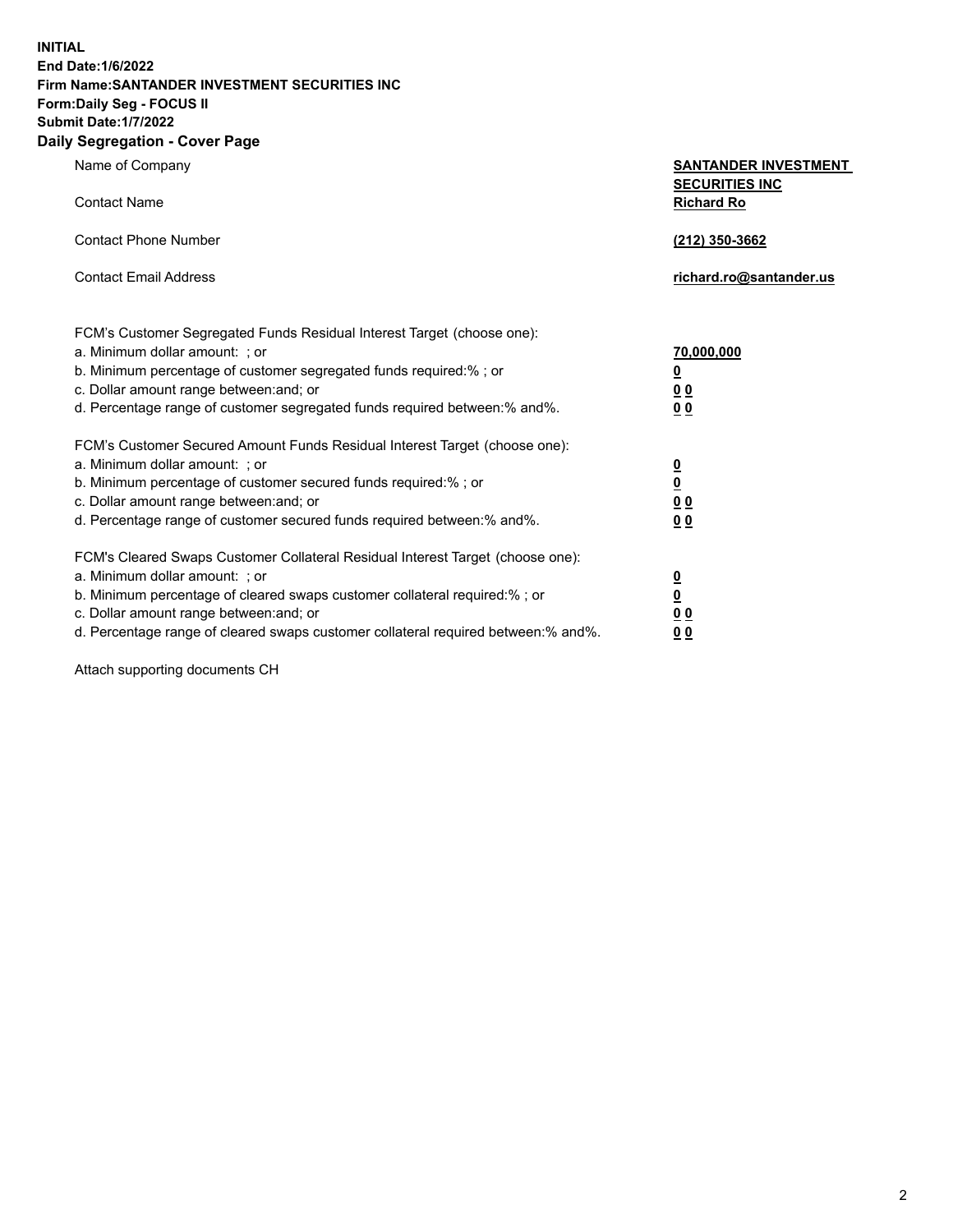**INITIAL End Date:1/6/2022 Firm Name:SANTANDER INVESTMENT SECURITIES INC Form:Daily Seg - FOCUS II Submit Date:1/7/2022 Daily Segregation - Cover Page**

| Name of Company                                                                   | <b>SANTANDER INVESTMENT</b><br><b>SECURITIES INC</b> |  |  |  |  |
|-----------------------------------------------------------------------------------|------------------------------------------------------|--|--|--|--|
| <b>Contact Name</b>                                                               | <b>Richard Ro</b>                                    |  |  |  |  |
| <b>Contact Phone Number</b>                                                       | (212) 350-3662                                       |  |  |  |  |
| <b>Contact Email Address</b>                                                      | richard.ro@santander.us                              |  |  |  |  |
| FCM's Customer Segregated Funds Residual Interest Target (choose one):            |                                                      |  |  |  |  |
| a. Minimum dollar amount: ; or                                                    | 70,000,000                                           |  |  |  |  |
| b. Minimum percentage of customer segregated funds required:% ; or                | $\overline{\mathbf{0}}$                              |  |  |  |  |
| c. Dollar amount range between: and; or                                           | 0 <sub>0</sub>                                       |  |  |  |  |
| d. Percentage range of customer segregated funds required between:% and%.         | 0 <sub>0</sub>                                       |  |  |  |  |
| FCM's Customer Secured Amount Funds Residual Interest Target (choose one):        |                                                      |  |  |  |  |
| a. Minimum dollar amount: ; or                                                    | $\overline{\mathbf{0}}$                              |  |  |  |  |
| b. Minimum percentage of customer secured funds required:%; or                    | $\overline{\mathbf{0}}$                              |  |  |  |  |
| c. Dollar amount range between: and; or                                           | 0 <sub>0</sub>                                       |  |  |  |  |
| d. Percentage range of customer secured funds required between:% and%.            | 0 <sub>0</sub>                                       |  |  |  |  |
| FCM's Cleared Swaps Customer Collateral Residual Interest Target (choose one):    |                                                      |  |  |  |  |
| a. Minimum dollar amount: ; or                                                    | <u>0</u>                                             |  |  |  |  |
| b. Minimum percentage of cleared swaps customer collateral required:%; or         | $\underline{\mathbf{0}}$                             |  |  |  |  |
| c. Dollar amount range between: and; or                                           | 0 <sub>0</sub>                                       |  |  |  |  |
| d. Percentage range of cleared swaps customer collateral required between:% and%. | 0 <sub>0</sub>                                       |  |  |  |  |

Attach supporting documents CH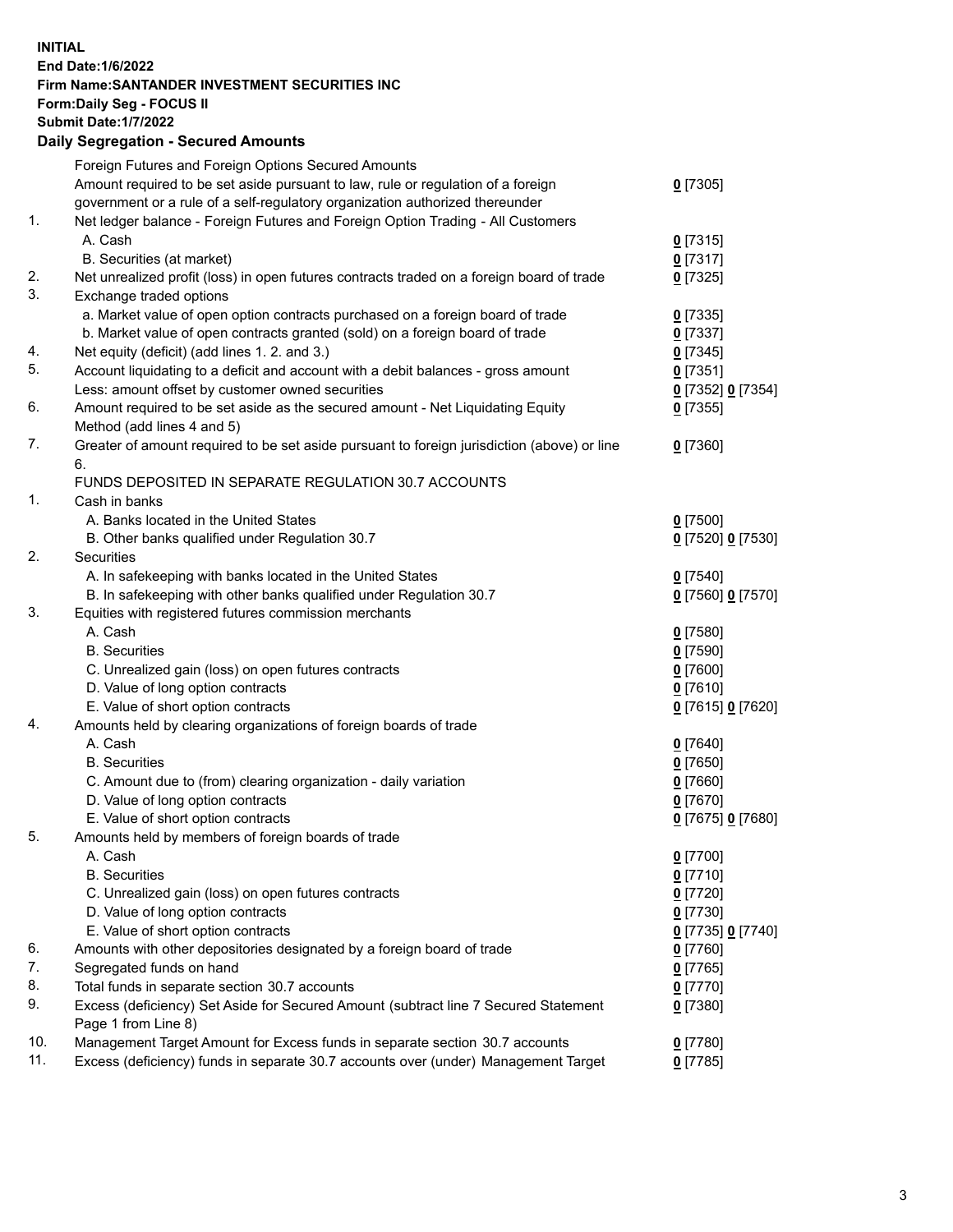## **INITIAL End Date:1/6/2022 Firm Name:SANTANDER INVESTMENT SECURITIES INC Form:Daily Seg - FOCUS II Submit Date:1/7/2022 Daily Segregation - Secured Amounts** Foreign Futures and Foreign Options Secured Amounts Amount required to be set aside pursuant to law, rule or regulation of a foreign government or a rule of a self-regulatory organization authorized thereunder 1. Net ledger balance - Foreign Futures and Foreign Option Trading - All Customers A. Cash **0** [7315]

|    |                                                                                             | 21001             |
|----|---------------------------------------------------------------------------------------------|-------------------|
|    | B. Securities (at market)                                                                   | $0$ [7317]        |
| 2. | Net unrealized profit (loss) in open futures contracts traded on a foreign board of trade   | $0$ [7325]        |
| 3. | Exchange traded options                                                                     |                   |
|    | a. Market value of open option contracts purchased on a foreign board of trade              | $0$ [7335]        |
|    | b. Market value of open contracts granted (sold) on a foreign board of trade                | $0$ [7337]        |
| 4. | Net equity (deficit) (add lines 1. 2. and 3.)                                               | $0$ [7345]        |
| 5. | Account liquidating to a deficit and account with a debit balances - gross amount           | $0$ [7351]        |
|    | Less: amount offset by customer owned securities                                            | 0 [7352] 0 [7354] |
| 6. | Amount required to be set aside as the secured amount - Net Liquidating Equity              | $0$ [7355]        |
|    | Method (add lines 4 and 5)                                                                  |                   |
| 7. | Greater of amount required to be set aside pursuant to foreign jurisdiction (above) or line | $0$ [7360]        |
|    | 6.                                                                                          |                   |
|    | FUNDS DEPOSITED IN SEPARATE REGULATION 30.7 ACCOUNTS                                        |                   |
| 1. | Cash in banks                                                                               |                   |
|    | A. Banks located in the United States                                                       | $0$ [7500]        |
|    | B. Other banks qualified under Regulation 30.7                                              | 0 [7520] 0 [7530] |
| 2. | Securities                                                                                  |                   |
|    | A. In safekeeping with banks located in the United States                                   | $0$ [7540]        |
|    | B. In safekeeping with other banks qualified under Regulation 30.7                          | 0 [7560] 0 [7570] |
| 3. | Equities with registered futures commission merchants                                       |                   |
|    | A. Cash                                                                                     | $0$ [7580]        |
|    | <b>B.</b> Securities                                                                        | $0$ [7590]        |
|    | C. Unrealized gain (loss) on open futures contracts                                         | $0$ [7600]        |
|    | D. Value of long option contracts                                                           | $0$ [7610]        |
|    | E. Value of short option contracts                                                          | 0 [7615] 0 [7620] |
| 4. | Amounts held by clearing organizations of foreign boards of trade                           |                   |
|    | A. Cash                                                                                     | $0$ [7640]        |
|    | <b>B.</b> Securities                                                                        | $0$ [7650]        |
|    | C. Amount due to (from) clearing organization - daily variation                             | $0$ [7660]        |
|    | D. Value of long option contracts                                                           | $0$ [7670]        |
|    | E. Value of short option contracts                                                          | 0 [7675] 0 [7680] |
| 5. | Amounts held by members of foreign boards of trade                                          |                   |
|    | A. Cash                                                                                     | $0$ [7700]        |
|    | <b>B.</b> Securities                                                                        | $0$ [7710]        |
|    | C. Unrealized gain (loss) on open futures contracts                                         | $0$ [7720]        |
|    | D. Value of long option contracts                                                           | $0$ [7730]        |
|    | E. Value of short option contracts                                                          | 0 [7735] 0 [7740] |
| 6. | Amounts with other depositories designated by a foreign board of trade                      | $0$ [7760]        |
| 7. | Segregated funds on hand                                                                    | $0$ [7765]        |
| 8. | Total funds in separate section 30.7 accounts                                               | $0$ [7770]        |
| 9. | Excess (deficiency) Set Aside for Secured Amount (subtract line 7 Secured Statement         | $0$ [7380]        |
|    | Page 1 from Line 8)                                                                         |                   |

**0** [7305]

10. Management Target Amount for Excess funds in separate section 30.7 accounts **0** [7780]

11. Excess (deficiency) funds in separate 30.7 accounts over (under) Management Target **0** [7785]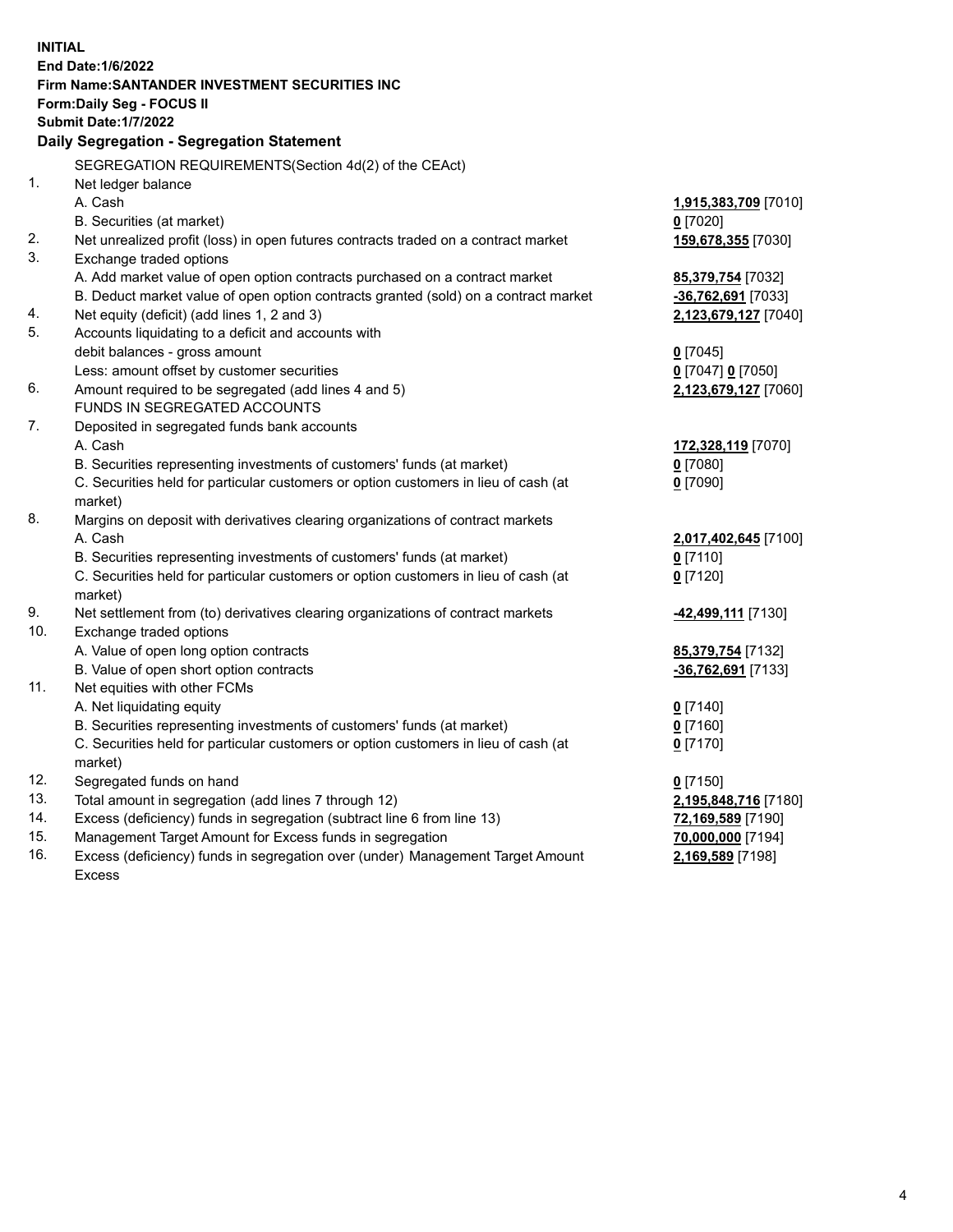| <b>INITIAL</b> |                                                                                     |                          |
|----------------|-------------------------------------------------------------------------------------|--------------------------|
|                | End Date: 1/6/2022                                                                  |                          |
|                | Firm Name: SANTANDER INVESTMENT SECURITIES INC                                      |                          |
|                | <b>Form:Daily Seg - FOCUS II</b>                                                    |                          |
|                | <b>Submit Date: 1/7/2022</b>                                                        |                          |
|                | Daily Segregation - Segregation Statement                                           |                          |
|                | SEGREGATION REQUIREMENTS(Section 4d(2) of the CEAct)                                |                          |
| 1.             | Net ledger balance                                                                  |                          |
|                | A. Cash                                                                             | 1,915,383,709 [7010]     |
|                | B. Securities (at market)                                                           | $0$ [7020]               |
| 2.             | Net unrealized profit (loss) in open futures contracts traded on a contract market  | 159,678,355 [7030]       |
| 3.             | Exchange traded options                                                             |                          |
|                | A. Add market value of open option contracts purchased on a contract market         | 85,379,754 [7032]        |
|                | B. Deduct market value of open option contracts granted (sold) on a contract market | -36,762,691 [7033]       |
| 4.             | Net equity (deficit) (add lines 1, 2 and 3)                                         | 2,123,679,127 [7040]     |
| 5.             | Accounts liquidating to a deficit and accounts with                                 |                          |
|                | debit balances - gross amount                                                       | $0$ [7045]               |
|                | Less: amount offset by customer securities                                          | 0 [7047] 0 [7050]        |
| 6.             | Amount required to be segregated (add lines 4 and 5)                                | 2,123,679,127 [7060]     |
|                | FUNDS IN SEGREGATED ACCOUNTS                                                        |                          |
| 7.             | Deposited in segregated funds bank accounts                                         |                          |
|                | A. Cash                                                                             | 172,328,119 [7070]       |
|                | B. Securities representing investments of customers' funds (at market)              | $0$ [7080]               |
|                | C. Securities held for particular customers or option customers in lieu of cash (at | $0$ [7090]               |
|                | market)                                                                             |                          |
| 8.             | Margins on deposit with derivatives clearing organizations of contract markets      |                          |
|                | A. Cash                                                                             | 2,017,402,645 [7100]     |
|                | B. Securities representing investments of customers' funds (at market)              | $0$ [7110]               |
|                | C. Securities held for particular customers or option customers in lieu of cash (at | $0$ [7120]               |
|                | market)                                                                             |                          |
| 9.<br>10.      | Net settlement from (to) derivatives clearing organizations of contract markets     | -42,499,111 [7130]       |
|                | Exchange traded options                                                             |                          |
|                | A. Value of open long option contracts                                              | 85,379,754 [7132]        |
| 11.            | B. Value of open short option contracts                                             | -36,762,691 [7133]       |
|                | Net equities with other FCMs<br>A. Net liquidating equity                           |                          |
|                | B. Securities representing investments of customers' funds (at market)              | $0$ [7140]<br>$0$ [7160] |
|                | C. Securities held for particular customers or option customers in lieu of cash (at | $0$ [7170]               |
|                | market)                                                                             |                          |
| 12.            | Segregated funds on hand                                                            | $0$ [7150]               |
| 13.            | Total amount in segregation (add lines 7 through 12)                                | 2,195,848,716 [7180]     |
| 14.            | Excess (deficiency) funds in segregation (subtract line 6 from line 13)             | 72,169,589 [7190]        |
| 15.            | Management Target Amount for Excess funds in segregation                            | 70,000,000 [7194]        |
| 16.            | Excess (deficiency) funds in segregation over (under) Management Target Amount      | 2,169,589 [7198]         |
|                | <b>Excess</b>                                                                       |                          |
|                |                                                                                     |                          |